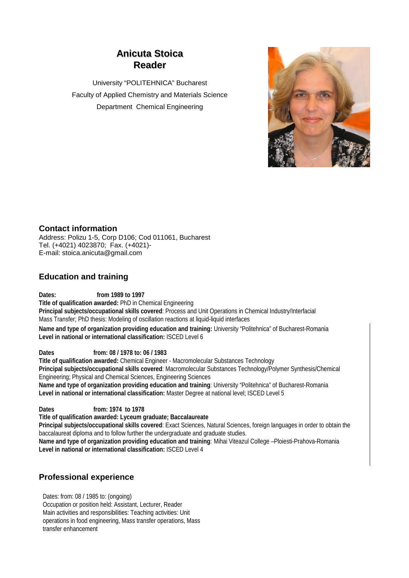# **Anicuta Stoica Reader**

University "POLITEHNICA" Bucharest Faculty of Applied Chemistry and Materials Science Department Chemical Engineering



### **Contact information**

Address: Polizu 1-5, Corp D106; Cod 011061, Bucharest Tel. (+4021) 4023870; Fax. (+4021)- E-mail: stoica.anicuta@gmail.com

### **Education and training**

**Dates: from 1989 to 1997 Title of qualification awarded:** PhD in Chemical Engineering **Principal subjects/occupational skills covered**: Process and Unit Operations in Chemical Industry/Interfacial Mass Transfer; PhD thesis: Modeling of oscillation reactions at liquid-liquid interfaces **Name and type of organization providing education and training:** University "Politehnica" of Bucharest-Romania **Level in national or international classification:** ISCED Level 6

**Dates from: 08 / 1978 to: 06 / 1983 Title of qualification awarded:** Chemical Engineer - Macromolecular Substances Technology **Principal subjects/occupational skills covered**: Macromolecular Substances Technology/Polymer Synthesis/Chemical Engineering; Physical and Chemical Sciences, Engineering Sciences **Name and type of organization providing education and training**: University "Politehnica" of Bucharest-Romania **Level in national or international classification:** Master Degree at national level; ISCED Level 5

**Dates from: 1974 to 1978 Title of qualification awarded: Lyceum graduate; Baccalaureate Principal subjects/occupational skills covered**: Exact Sciences, Natural Sciences, foreign languages in order to obtain the baccalaureat diploma and to follow further the undergraduate and graduate studies. **Name and type of organization providing education and training**: Mihai Viteazul College –Ploiesti-Prahova-Romania **Level in national or international classification:** ISCED Level 4

# **Professional experience**

Dates: from: 08 / 1985 to: (ongoing) Occupation or position held: Assistant, Lecturer, Reader Main activities and responsibilities: Teaching activities: Unit operations in food engineering, Mass transfer operations, Mass transfer enhancement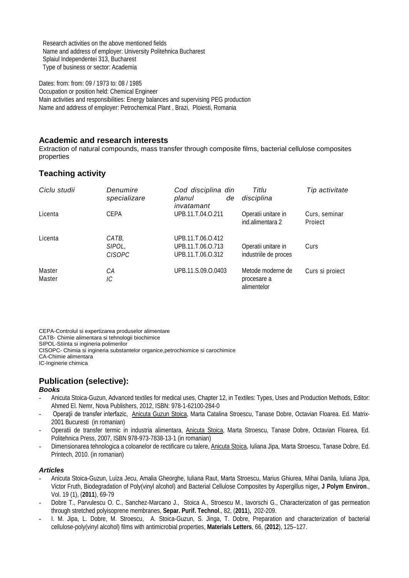Research activities on the above mentioned fields Name and address of employer: University Politehnica Bucharest Splaiul Independentei 313, Bucharest Type of business or sector: Academia

Dates: from: from: 09 / 1973 to: 08 / 1985 Occupation or position held: Chemical Engineer Main activities and responsibilities: Energy balances and supervising PEG production Name and address of employer: Petrochemical Plant , Brazi, Ploiesti, Romania

#### **Academic and research interests**

Extraction of natural compounds, mass transfer through composite films, bacterial cellulose composites properties

# **Teaching activity**

| Ciclu studii     | Denumire<br>specializare         | Cod disciplina din<br>planul<br>de<br>invatamant            | Titlu<br>disciplina                             | Tip activitate           |
|------------------|----------------------------------|-------------------------------------------------------------|-------------------------------------------------|--------------------------|
| Licenta          | <b>CEPA</b>                      | UPB.11.T.04.O.211                                           | Operatii unitare in<br>ind.alimentara 2         | Curs, seminar<br>Project |
| Licenta          | CATB.<br>SIPOL,<br><i>CISOPC</i> | UPB.11.T.06.O.412<br>UPB.11.T.06.O.713<br>UPB.11.T.06.O.312 | Operatii unitare in<br>industriile de proces    | Curs                     |
| Master<br>Master | CА<br>IС                         | UPB.11.S.09.O.0403                                          | Metode moderne de<br>procesare a<br>alimentelor | Curs si proiect          |

CEPA-Controlul si expertizarea produselor alimentare CATB- Chimie alimentara si tehnologii biochimice SIPOL-Stiinta si ingineria polimerilor CISOPC- Chimia si ingineria substantelor organice,petrochiomice si carochimice CA-Chimie alimentara IC-Inginerie chimica

### **Publication (selective):**

#### *Books*

- Anicuta Stoica-Guzun, Advanced textiles for medical uses, Chapter 12, in Textiles: Types, Uses and Production Methods, Editor: Ahmed El. Nemr, Nova Publishers, 2012, ISBN: 978-1-62100-284-0
- Operaţii de transfer interfazic, Anicuta Guzun Stoica, Marta Catalina Stroescu, Tanase Dobre, Octavian Floarea. Ed. Matrix-2001 Bucuresti (in romanian)
- Operatii de transfer termic in industria alimentara, Anicuta Stoica, Marta Stroescu, Tanase Dobre, Octavian Floarea, Ed. Politehnica Press, 2007, ISBN 978-973-7838-13-1 (in romanian)
- Dimensionarea tehnologica a coloanelor de rectificare cu talere, Anicuta Stoica, Iuliana Jipa, Marta Stroescu, Tanase Dobre, Ed. Printech, 2010. (in romanian)

#### *Articles*

- Anicuta Stoica-Guzun, Luiza Jecu, Amalia Gheorghe, Iuliana Raut, Marta Stroescu, Marius Ghiurea, Mihai Danila, Iuliana Jipa, Victor Fruth, Biodegradation of Poly(vinyl alcohol) and Bacterial Cellulose Composites by Aspergillus niger**, J Polym Environ**., Vol. 19 (1), (**2011**), 69-79
- Dobre T., Parvulescu O. C., Sanchez-Marcano J., Stoica A., Stroescu M., Iavorschi G., Characterization of gas permeation through stretched polyisoprene membranes, **Separ. Purif. Technol**., 82, (**2011**)**,** 202-209.
- I. M. Jipa, L. Dobre, M. Stroescu, A. Stoica-Guzun, S. Jinga, T. Dobre, Preparation and characterization of bacterial cellulose-poly(vinyl alcohol) films with antimicrobial properties, **Materials Letters**, 66, (**2012**), 125–127.